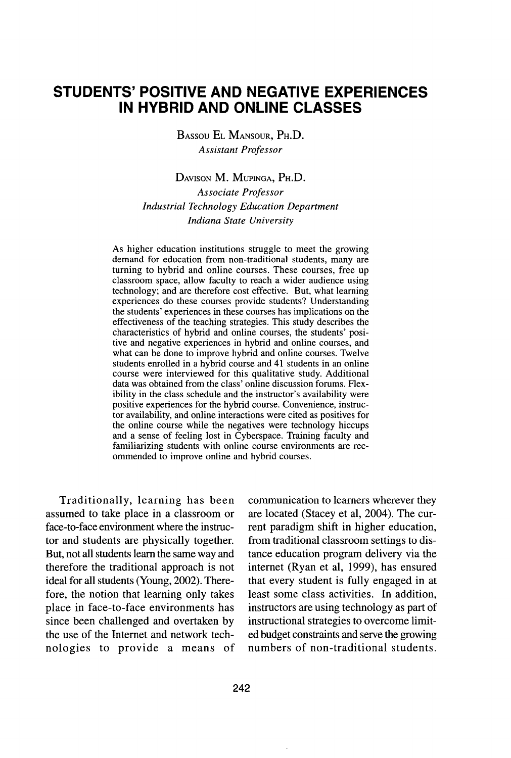# **STUDENTS'** POSITIVE **AND NEGATIVE EXPERIENCES IN** HYBRID **AND ONLINE CLASSES**

BASsou EL MANSOUR, PH.D. *Assistant Professor*

DAViSON M. MUPINGA, PH.D. *Associate Professor Industrial Technology Education Department Indiana State University*

As higher education institutions struggle to meet the growing demand for education from non-traditional students, many are turning to hybrid and online courses. These courses, free up classroom space, allow faculty to reach a wider audience using technology; and are therefore cost effective. But, what learning experiences do these courses provide students? Understanding the students' experiences in these courses has implications on the effectiveness of the teaching strategies. This study describes the characteristics of hybrid and online courses, the students' positive and negative experiences in hybrid and online courses, and what can be done to improve hybrid and online courses. Twelve students enrolled in a hybrid course and 41 students in an online course were interviewed for this qualitative study. Additional data was obtained from the class' online discussion forums. Flexibility in the class schedule and the instructor's availability were positive experiences for the hybrid course. Convenience, instructor availability, and online interactions were cited as positives for the online course while the negatives were technology hiccups and a sense of feeling lost in Cyberspace. Training faculty and familiarizing students with online course environments are recommended to improve online and hybrid courses.

Traditionally, learning has been assumed to take place in a classroom or face-to-face environment where the instructor and students are physically together. But, not all students learn the same way and therefore the traditional approach is not ideal for all students (Young, 2002). Therefore, the notion that learning only takes place in face-to-face environments has since been challenged and overtaken by the use of the Internet and network technologies to provide a means of

communication to learners wherever they are located (Stacey et al, 2004). The current paradigm shift in higher education, from traditional classroom settings to distance education program delivery via the internet (Ryan et al, 1999), has ensured that every student is fully engaged in at least some class activities. In addition, instructors are using technology as part of instructional strategies to overcome limited budget constraints and serve the growing numbers of non-traditional students.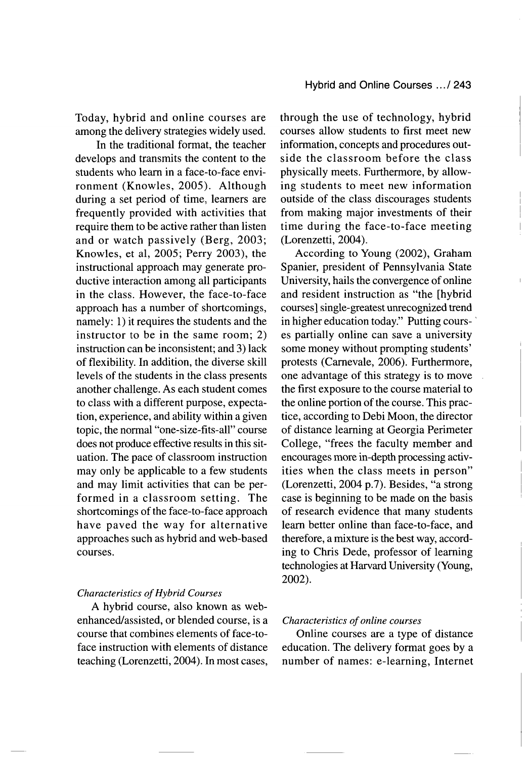Today, hybrid and online courses are among the delivery strategies widely used.

In the traditional format, the teacher develops and transmits the content to the students who learn in a face-to-face environment (Knowles, 2005). Although during a set period of time, learners are frequently provided with activities that require them to be active rather than listen and or watch passively (Berg, 2003; Knowles, et al, 2005; Perry 2003), the instructional approach may generate productive interaction among all participants in the class. However, the face-to-face approach has a number of shortcomings, namely: 1) it requires the students and the instructor to be in the same room; 2) instruction can be inconsistent; and 3) lack of flexibility. In addition, the diverse skill levels of the students in the class presents another challenge. As each student comes to class with a different purpose, expectation, experience, and ability within a given topic, the normal "one-size-fits-all" course does not produce effective results in this situation. The pace of classroom instruction may only be applicable to a few students and may limit activities that can be performed in a classroom setting. The shortcomings of the face-to-face approach have paved the way for alternative approaches such as hybrid and web-based courses.

#### *Characteristics of Hybrid Courses*

A hybrid course, also known as webenhanced/assisted, or blended course, is a course that combines elements of face-toface instruction with elements of distance teaching (Lorenzetti, 2004). In most cases,

through the use of technology, hybrid courses allow students to first meet new information, concepts and procedures outside the classroom before the class physically meets. Furthermore, by allowing students to meet new information outside of the class discourages students from making major investments of their time during the face-to-face meeting (Lorenzetti, 2004).

According to Young (2002), Graham Spanier, president of Pennsylvania State University, hails the convergence of online and resident instruction as "the [hybrid courses] single-greatest unrecognized trend in higher education today." Putting courses partially online can save a university some money without prompting students' protests (Carnevale, 2006). Furthermore, one advantage of this strategy is to move the first exposure to the course material to the online portion of the course. This practice, according to Debi Moon, the director of distance learning at Georgia Perimeter College, "frees the faculty member and encourages more in-depth processing activities when the class meets in person" (Lorenzetti, 2004 p.7). Besides, "a strong case is beginning to be made on the basis of research evidence that many students learn better online than face-to-face, and therefore, a mixture is the best way, according to Chris Dede, professor of learning technologies at Harvard University (Young, 2002).

## *Characteristics of online courses*

Online courses are a type of distance education. The delivery format goes by a number of names: e-learning, Internet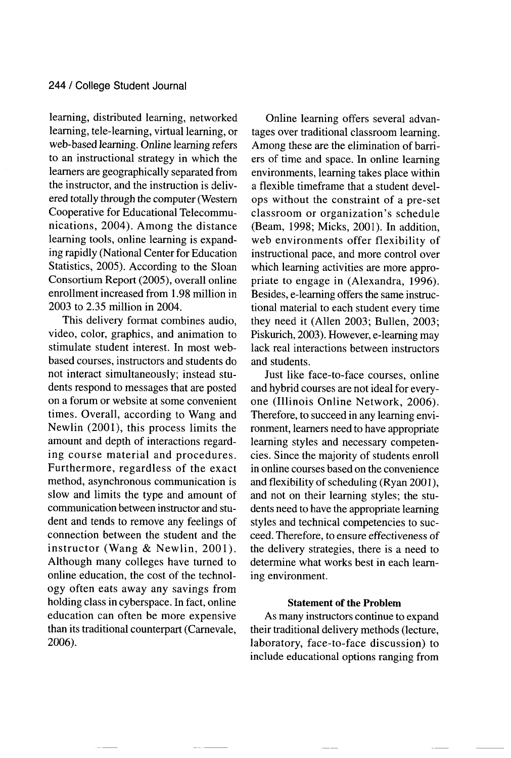learning, distributed learning, networked learning, tele-learning, virtual learning, or web-based learning. Online learning refers to an instructional strategy in which the learners are geographically separated from the instructor, and the instruction is delivered totally through the computer (Western Cooperative for Educational Telecommunications, 2004). Among the distance learning tools, online learning is expanding rapidly (National Center for Education Statistics, 2005). According to the Sloan Consortium Report (2005), overall online enrollment increased from 1.98 million in 2003 to 2.35 million in 2004.

This delivery format combines audio, video, color, graphics, and animation to stimulate student interest. In most webbased courses, instructors and students do not interact simultaneously; instead students respond to messages that are posted on a forum or website at some convenient times. Overall, according to Wang and Newlin (2001), this process limits the amount and depth of interactions regarding course material and procedures. Furthermore, regardless of the exact method, asynchronous communication is slow and limits the type and amount of communication between instructor and student and tends to remove any feelings of connection between the student and the instructor (Wang & Newlin, 2001). Although many colleges have turned to online education, the cost of the technology often eats away any savings from holding class in cyberspace. In fact, online education can often be more expensive than its traditional counterpart (Carnevale, 2006).

Online learning offers several advantages over traditional classroom learning. Among these are the elimination of barriers of time and space. In online learning environments, learning takes place within a flexible timeframe that a student develops without the constraint of a pre-set classroom or organization's schedule (Beam, 1998; Micks, 2001). In addition, web environments offer flexibility of instructional pace, and more control over which learning activities are more appropriate to engage in (Alexandra, 1996). Besides, e-learning offers the same instructional material to each student every time they need it (Allen 2003; Bullen, 2003; Piskurich, 2003). However, e-learning may lack real interactions between instructors and students.

Just like face-to-face courses, online and hybrid courses are not ideal for everyone (Illinois Online Network, 2006). Therefore, to succeed in any learning environment, learners need to have appropriate learning styles and necessary competencies. Since the majority of students enroll in online courses based on the convenience and flexibility of scheduling (Ryan 2001), and not on their learning styles; the students need to have the appropriate learning styles and technical competencies to succeed. Therefore, to ensure effectiveness of the delivery strategies, there is a need to determine what works best in each learning environment.

## Statement of the Problem

As many instructors continue to expand their traditional delivery methods (lecture, laboratory, face-to-face discussion) to include educational options ranging from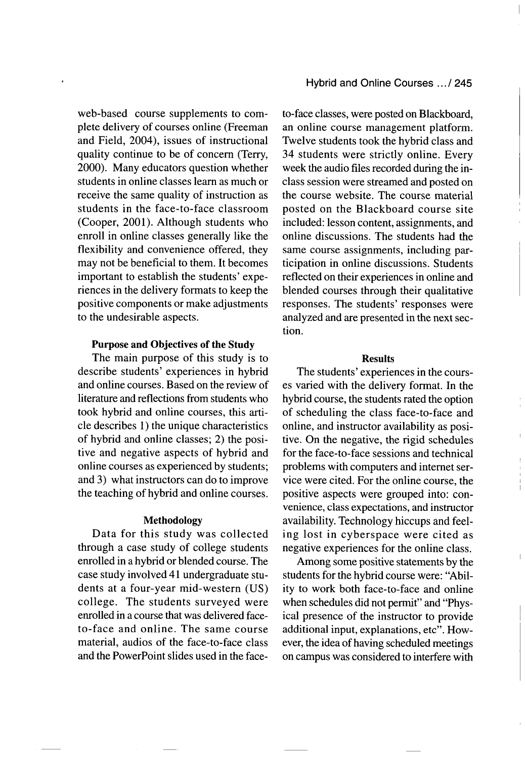web-based course supplements to complete delivery of courses online (Freeman and Field, 2004), issues of instructional quality continue to be of concern (Terry, 2000). Many educators question whether students in online classes learn as much or receive the same quality of instruction as students in the face-to-face classroom (Cooper, 2001). Although students who enroll in online classes generally like the flexibility and convenience offered, they may not be beneficial to them. It becomes important to establish the students' experiences in the delivery formats to keep the positive components or make adjustments to the undesirable aspects.

## Purpose and Objectives of the Study

The main purpose of this study is to describe students' experiences in hybrid and online courses. Based on the review of literature and reflections from students who took hybrid and online courses, this article describes 1) the unique characteristics of hybrid and online classes; 2) the positive and negative aspects of hybrid and online courses as experienced by students; and 3) what instructors can do to improve the teaching of hybrid and online courses.

### Methodology

Data for this study was collected through a case study of college students enrolled in a hybrid or blended course. The case study involved 41 undergraduate students at a four-year mid-western (US) college. The students surveyed were enrolled in a course that was delivered faceto-face and online. The same course material, audios of the face-to-face class and the PowerPoint slides used in the face-

to-face classes, were posted on Blackboard, an online course management platform. Twelve students took the hybrid class and 34 students were strictly online. Every week the audio files recorded during the inclass session were streamed and posted on the course website. The course material posted on the Blackboard course site included: lesson content, assignments, and online discussions. The students had the same course assignments, including participation in online discussions. Students reflected on their experiences in online and blended courses through their qualitative responses. The students' responses were analyzed and are presented in the next section.

#### Results

The students' experiences in the courses varied with the delivery format. In the hybrid course, the students rated the option of scheduling the class face-to-face and online, and instructor availability as positive. On the negative, the rigid schedules for the face-to-face sessions and technical problems with computers and internet service were cited. For the online course, the positive aspects were grouped into: convenience, class expectations, and instructor availability. Technology hiccups and feeling lost in cyberspace were cited as negative experiences for the online class.

Among some positive statements by the students for the hybrid course were: "Ability to work both face-to-face and online when schedules did not permit" and "Physical presence of the instructor to provide additional input, explanations, etc". However, the idea of having scheduled meetings on campus was considered to interfere with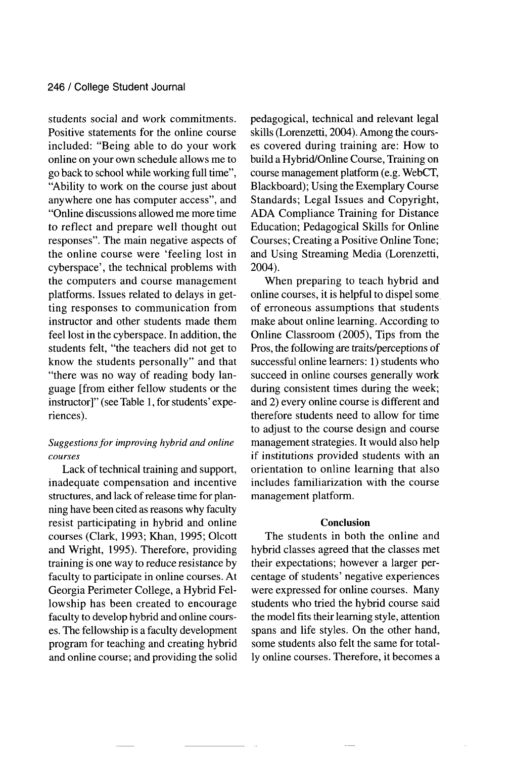students social and work commitments. Positive statements for the online course included: "Being able to do your work online on your own schedule allows me to go back to school while working full time", "Ability to work on the course just about anywhere one has computer access", and "Online discussions allowed me more time to reflect and prepare well thought out responses". The main negative aspects of the online course were 'feeling lost in cyberspace', the technical problems with the computers and course management platforms. Issues related to delays in getting responses to communication from instructor and other students made them feel lost in the cyberspace. In addition, the students felt, "the teachers did not get to know the students personally" and that "there was no way of reading body language [from either fellow students or the instructor]" (see Table 1, for students' experiences).

## *Suggestions for improving hybrid and online courses*

Lack of technical training and support, inadequate compensation and incentive structures, and lack of release time for planning have been cited as reasons why faculty resist participating in hybrid and online courses (Clark, 1993; Khan, 1995; Olcott and Wright, 1995). Therefore, providing training is one way to reduce resistance by faculty to participate in online courses. At Georgia Perimeter College, a Hybrid Fellowship has been created to encourage faculty to develop hybrid and online courses. The fellowship is a faculty development program for teaching and creating hybrid and online course; and providing the solid pedagogical, technical and relevant legal skills (Lorenzetti, 2004). Among the courses covered during training are: How to build a Hybrid/Online Course, Training on course management platform (e.g. WebCT, Blackboard); Using the Exemplary Course Standards; Legal Issues and Copyright, ADA Compliance Training for Distance Education; Pedagogical Skills for Online Courses; Creating a Positive Online Tone; and Using Streaming Media (Lorenzetti, 2004).

When preparing to teach hybrid and online courses, it is helpful to dispel some of erroneous assumptions that students make about online learning. According to Online Classroom (2005), Tips from the Pros, the following are traits/perceptions of successful online learners: 1) students who succeed in online courses generally work during consistent times during the week; and 2) every online course is different and therefore students need to allow for time to adjust to the course design and course management strategies. It would also help if institutions provided students with an orientation to online learning that also includes familiarization with the course management platform.

## Conclusion

The students in both the online and hybrid classes agreed that the classes met their expectations; however a larger percentage of students' negative experiences were expressed for online courses. Many students who tried the hybrid course said the model fits their learning style, attention spans and life styles. On the other hand, some students also felt the same for totally online courses. Therefore, it becomes a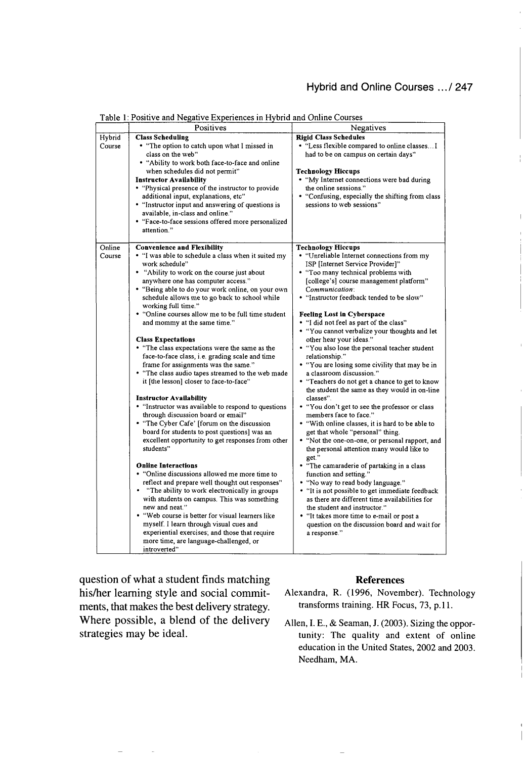## Hybrid and Online Courses **... /247**

|                  | Positives                                                                                                                                                                                                                                                                                                                                                                                                                                                                                                                                                                                                                                                                                                                                                                                                                                                                                                                                                                                                                                                                                                                                                                                                                                                                                               | Negatives                                                                                                                                                                                                                                                                                                                                                                                                                                                                                                                                                                                                                                                                                                                                                                                                                                                                                                                                                                                                                                                                                                                                                                                                                                                             |
|------------------|---------------------------------------------------------------------------------------------------------------------------------------------------------------------------------------------------------------------------------------------------------------------------------------------------------------------------------------------------------------------------------------------------------------------------------------------------------------------------------------------------------------------------------------------------------------------------------------------------------------------------------------------------------------------------------------------------------------------------------------------------------------------------------------------------------------------------------------------------------------------------------------------------------------------------------------------------------------------------------------------------------------------------------------------------------------------------------------------------------------------------------------------------------------------------------------------------------------------------------------------------------------------------------------------------------|-----------------------------------------------------------------------------------------------------------------------------------------------------------------------------------------------------------------------------------------------------------------------------------------------------------------------------------------------------------------------------------------------------------------------------------------------------------------------------------------------------------------------------------------------------------------------------------------------------------------------------------------------------------------------------------------------------------------------------------------------------------------------------------------------------------------------------------------------------------------------------------------------------------------------------------------------------------------------------------------------------------------------------------------------------------------------------------------------------------------------------------------------------------------------------------------------------------------------------------------------------------------------|
| Hybrid<br>Course | <b>Class Scheduling</b><br>• "The option to catch upon what I missed in                                                                                                                                                                                                                                                                                                                                                                                                                                                                                                                                                                                                                                                                                                                                                                                                                                                                                                                                                                                                                                                                                                                                                                                                                                 | <b>Rigid Class Schedules</b><br>• "Less flexible compared to online classes I                                                                                                                                                                                                                                                                                                                                                                                                                                                                                                                                                                                                                                                                                                                                                                                                                                                                                                                                                                                                                                                                                                                                                                                         |
|                  | class on the web"<br>. "Ability to work both face-to-face and online<br>when schedules did not permit"<br><b>Instructor Availability</b><br>• "Physical presence of the instructor to provide<br>additional input, explanations, etc"<br>• "Instructor input and answering of questions is<br>available, in-class and online."<br>• "Face-to-face sessions offered more personalized<br>attention."                                                                                                                                                                                                                                                                                                                                                                                                                                                                                                                                                                                                                                                                                                                                                                                                                                                                                                     | had to be on campus on certain days"<br><b>Technology Hiccups</b><br>• "My Internet connections were bad during<br>the online sessions."<br>• "Confusing, especially the shifting from class<br>sessions to web sessions"                                                                                                                                                                                                                                                                                                                                                                                                                                                                                                                                                                                                                                                                                                                                                                                                                                                                                                                                                                                                                                             |
|                  |                                                                                                                                                                                                                                                                                                                                                                                                                                                                                                                                                                                                                                                                                                                                                                                                                                                                                                                                                                                                                                                                                                                                                                                                                                                                                                         |                                                                                                                                                                                                                                                                                                                                                                                                                                                                                                                                                                                                                                                                                                                                                                                                                                                                                                                                                                                                                                                                                                                                                                                                                                                                       |
| Online<br>Course | <b>Convenience and Flexibility</b><br>. "I was able to schedule a class when it suited my<br>work schedule"<br>• "Ability to work on the course just about<br>anywhere one has computer access."<br>• "Being able to do your work online, on your own<br>schedule allows me to go back to school while<br>working full time."<br>• "Online courses allow me to be full time student<br>and mommy at the same time."<br><b>Class Expectations</b><br>• "The class expectations were the same as the<br>face-to-face class, i.e. grading scale and time<br>frame for assignments was the same."<br>. "The class audio tapes streamed to the web made<br>it [the lesson] closer to face-to-face"<br><b>Instructor Availability</b><br>• "Instructor was available to respond to questions<br>through discussion board or email"<br>• "The Cyber Cafe' [forum on the discussion<br>board for students to post questions] was an<br>excellent opportunity to get responses from other<br>students"<br><b>Online Interactions</b><br>• "Online discussions allowed me more time to<br>reflect and prepare well thought out responses"<br>• "The ability to work electronically in groups<br>with students on campus. This was something<br>new and neat."<br>• "Web course is better for visual learners like | <b>Technology Hiccups</b><br>• "Unreliable Internet connections from my<br>ISP [Internet Service Provider]"<br>• "Too many technical problems with<br>[college's] course management platform"<br>Communication:<br>• "Instructor feedback tended to be slow"<br><b>Feeling Lost in Cyberspace</b><br>• "I did not feel as part of the class"<br>• "You cannot verbalize your thoughts and let<br>other hear your ideas."<br>• "You also lose the personal teacher student<br>relationship."<br>• "You are losing some civility that may be in<br>a classroom discussion."<br>• "Teachers do not get a chance to get to know<br>the student the same as they would in on-line<br>classes".<br>• "You don't get to see the professor or class<br>members face to face."<br>. "With online classes, it is hard to be able to<br>get that whole "personal" thing.<br>• "Not the one-on-one, or personal rapport, and<br>the personal attention many would like to<br>get."<br>• "The camaraderie of partaking in a class<br>function and setting."<br>• "No way to read body language."<br>• "It is not possible to get immediate feedback<br>as there are different time availabilities for<br>the student and instructor."<br>• "It takes more time to e-mail or post a |
|                  | myself. I learn through visual cues and<br>experiential exercises; and those that require<br>more time, are language-challenged, or<br>introverted"                                                                                                                                                                                                                                                                                                                                                                                                                                                                                                                                                                                                                                                                                                                                                                                                                                                                                                                                                                                                                                                                                                                                                     | question on the discussion board and wait for<br>a response."                                                                                                                                                                                                                                                                                                                                                                                                                                                                                                                                                                                                                                                                                                                                                                                                                                                                                                                                                                                                                                                                                                                                                                                                         |

Table **1:** Positive and Negative Experiences in Hybrid and Online Courses

question of what a student finds matching his/her learning style and social commitments, that makes the best delivery strategy. Where possible, a blend of the delivery strategies may be ideal.

#### References

- Alexandra, R. (1996, November). Technology transforms training. HR Focus, 73, **p. 11.**
- Allen, I. **E.,** & Seaman, J. (2003). Sizing the opportunity: The quality and extent of online education in the United States, 2002 and 2003. Needham, MA.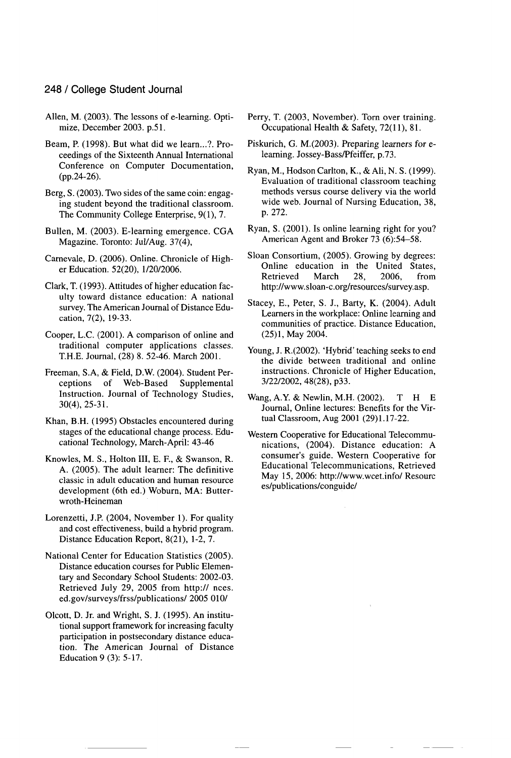## 248 / College Student Journal

- Allen, M. (2003). The lessons of e-learning. Optimize, December 2003. p.51.
- Beam, P. (1998). But what did we learn...?. Proceedings of the Sixteenth Annual International Conference on Computer Documentation, (pp.24-26).
- Berg, **S.** (2003). Two sides of the same coin: engaging student beyond the traditional classroom. The Community College Enterprise, 9(1), 7.
- Bullen, M. (2003). E-learning emergence. CGA Magazine. Toronto: Jul/Aug. 37(4),
- Carnevale, **D.** (2006). Online. Chronicle of Higher Education. 52(20), 1/20/2006.
- Clark, T. (1993). Attitudes of higher education faculty toward distance education: A national survey. The American Journal of Distance Education, 7(2), 19-33.
- Cooper, L.C. (2001). A comparison of online and traditional computer applications classes. T.H.E. Journal, (28) 8. 52-46. March 2001.
- Freeman, S.A, & Field, D.W. (2004). Student Perceptions of Web-Based Supplemental Instruction. Journal of Technology Studies, 30(4), 25-31.
- Khan, B.H. (1995) Obstacles encountered during stages of the educational change process. Educational Technology, March-April: 43-46
- Knowles, M. S., Holton III, E. F., & Swanson, R. A. (2005). The adult learner: The definitive classic in adult education and human resource development (6th ed.) Woburn, MA: Butterwroth-Heineman
- Lorenzetti, J.P. (2004, November 1). For quality and cost effectiveness, build a hybrid program. Distance Education Report, 8(21), 1-2, 7.
- National Center for Education Statistics (2005). Distance education courses for Public Elementary and Secondary School Students: 2002-03. Retrieved July 29, 2005 from http:// nces. ed.gov/surveys/frss/publications/ 2005 010/
- Olcott, D. Jr. and Wright, S. J. (1995). An institutional support framework for increasing faculty participation in postsecondary distance education. The American Journal of Distance Education 9 (3): 5-17.
- Perry, T. (2003, November). Torn over training. Occupational Health & Safety, 72(11), 81.
- Piskurich, G. M.(2003). Preparing learners for elearning. Jossey-Bass/Pfeiffer, p.73.
- Ryan, M., Hodson Carlton, K., &Ali, N. **S.** (1999). Evaluation of traditional classroom teaching methods versus course delivery via the world wide web. Journal of Nursing Education, 38, p. 272.
- Ryan, **S.** (2001). Is online learning right for you? American Agent and Broker 73 (6):54-58.
- Sloan Consortium, (2005). Growing by degrees: Online education in the United States,<br>Retrieved March 28, 2006, from Retrieved http://www.sloan-c.org/resources/survey.asp.
- Stacey, E., Peter, S. J., Barty, K. (2004). Adult Learners in the workplace: Online learning and communities of practice. Distance Education, (25)1, May 2004.
- Young, J. R.(2002). 'Hybrid' teaching seeks to end the divide between traditional and online instructions. Chronicle of Higher Education, 3/22/2002, 48(28), p33.
- Wang, A.Y. & Newlin, M.H. (2002). T H **E** Journal, Online lectures: Benefits for the Virtual Classroom, Aug 2001 (29)1.17-22.
- Western Cooperative for Educational Telecommunications, (2004). Distance education: A consumer's guide. Western Cooperative for Educational Telecommunications, Retrieved May 15, 2006: http://www.wcet.info/ Resourc es/publications/conguide/